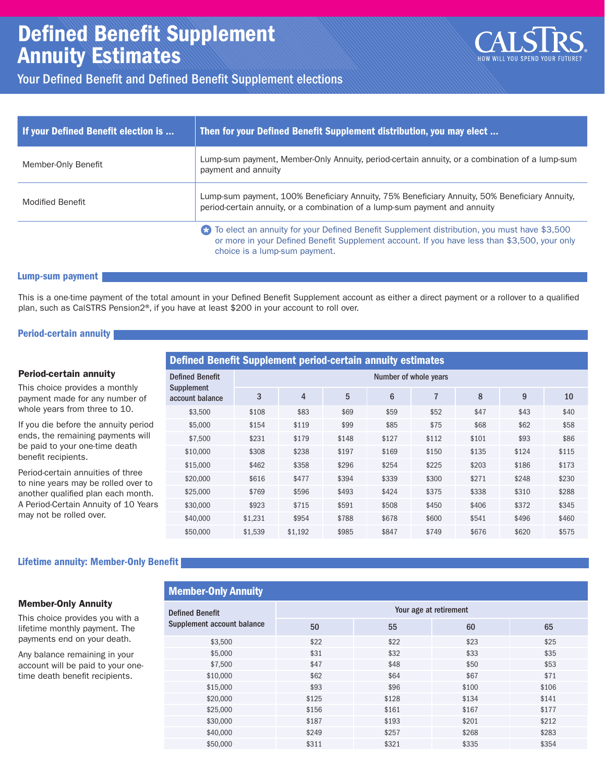# Defined Benefit Supplement Annuity Estimates



# Your Defined Benefit and Defined Benefit Supplement elections

| If your Defined Benefit election is | Then for your Defined Benefit Supplement distribution, you may elect                                                                                                                                                              |
|-------------------------------------|-----------------------------------------------------------------------------------------------------------------------------------------------------------------------------------------------------------------------------------|
| Member-Only Benefit                 | Lump-sum payment, Member-Only Annuity, period-certain annuity, or a combination of a lump-sum<br>payment and annuity                                                                                                              |
| <b>Modified Benefit</b>             | Lump-sum payment, 100% Beneficiary Annuity, 75% Beneficiary Annuity, 50% Beneficiary Annuity,<br>period-certain annuity, or a combination of a lump-sum payment and annuity                                                       |
|                                     | To elect an annuity for your Defined Benefit Supplement distribution, you must have \$3,500<br>Ø<br>or more in your Defined Benefit Supplement account. If you have less than \$3,500, your only<br>choice is a lump-sum payment. |

#### Lump-sum payment

This is a one-time payment of the total amount in your Defined Benefit Supplement account as either a direct payment or a rollover to a qualified plan, such as CalSTRS Pension2®, if you have at least \$200 in your account to roll over.

#### Period-certain annuity

|                                                                          | Defined Benefit Supplement period-certain annuity estimates |                       |         |       |                 |                |       |                                                                                     |       |  |  |  |  |  |
|--------------------------------------------------------------------------|-------------------------------------------------------------|-----------------------|---------|-------|-----------------|----------------|-------|-------------------------------------------------------------------------------------|-------|--|--|--|--|--|
| <b>Period-certain annuity</b>                                            | <b>Defined Benefit</b>                                      | Number of whole years |         |       |                 |                |       |                                                                                     |       |  |  |  |  |  |
| This choice provides a monthly<br>payment made for any number of         | Supplement<br>account balance                               | 3                     | 4       | 5     | $6\phantom{1}6$ | $\overline{7}$ | 8     | 9                                                                                   | 10    |  |  |  |  |  |
| whole years from three to 10.                                            | \$3,500                                                     | \$108                 | \$83    | \$69  | \$59            | \$52           | \$47  | \$43<br>\$62<br>\$93<br>\$124<br>\$186<br>\$248<br>\$310<br>\$372<br>\$496<br>\$620 | \$40  |  |  |  |  |  |
| If you die before the annuity period                                     | \$5,000                                                     | \$154                 | \$119   | \$99  | \$85            | \$75           | \$68  |                                                                                     | \$58  |  |  |  |  |  |
| ends, the remaining payments will                                        | \$7,500                                                     | \$231                 | \$179   | \$148 | \$127           | \$112          | \$101 |                                                                                     | \$86  |  |  |  |  |  |
| be paid to your one-time death<br>benefit recipients.                    | \$10,000                                                    | \$308                 | \$238   | \$197 | \$169           | \$150          | \$135 |                                                                                     | \$115 |  |  |  |  |  |
|                                                                          | \$15,000                                                    | \$462                 | \$358   | \$296 | \$254           | \$225          | \$203 |                                                                                     | \$173 |  |  |  |  |  |
| Period-certain annuities of three<br>to nine years may be rolled over to | \$20,000                                                    | \$616                 | \$477   | \$394 | \$339           | \$300          | \$271 |                                                                                     | \$230 |  |  |  |  |  |
| another qualified plan each month.                                       | \$25,000                                                    | \$769                 | \$596   | \$493 | \$424           | \$375          | \$338 |                                                                                     | \$288 |  |  |  |  |  |
| A Period-Certain Annuity of 10 Years                                     | \$30,000                                                    | \$923                 | \$715   | \$591 | \$508           | \$450          | \$406 |                                                                                     | \$345 |  |  |  |  |  |
| may not be rolled over.                                                  | \$40,000                                                    | \$1,231               | \$954   | \$788 | \$678           | \$600          | \$541 |                                                                                     | \$460 |  |  |  |  |  |
|                                                                          | \$50,000                                                    | \$1,539               | \$1,192 | \$985 | \$847           | \$749          | \$676 |                                                                                     | \$575 |  |  |  |  |  |

#### Lifetime annuity: Member-Only Benefit

Member-Only Annuity

#### Member-Only Annuity

This choice provides you with a lifetime monthly payment. The payments end on your death.

Any balance remaining in your account will be paid to your onetime death benefit recipients.

| $\cdots$                   |                        |       |       |       |  |  |  |  |  |  |  |  |
|----------------------------|------------------------|-------|-------|-------|--|--|--|--|--|--|--|--|
| <b>Defined Benefit</b>     | Your age at retirement |       |       |       |  |  |  |  |  |  |  |  |
| Supplement account balance | 50                     | 55    | 60    | 65    |  |  |  |  |  |  |  |  |
| \$3,500                    | \$22                   | \$22  | \$23  | \$25  |  |  |  |  |  |  |  |  |
| \$5,000                    | \$31                   | \$32  | \$33  | \$35  |  |  |  |  |  |  |  |  |
| \$7,500                    | \$47                   | \$48  | \$50  | \$53  |  |  |  |  |  |  |  |  |
| \$10,000                   | \$62                   | \$64  | \$67  | \$71  |  |  |  |  |  |  |  |  |
| \$15,000                   | \$93                   | \$96  | \$100 | \$106 |  |  |  |  |  |  |  |  |
| \$20,000                   | \$125                  | \$128 | \$134 | \$141 |  |  |  |  |  |  |  |  |
| \$25,000                   | \$156                  | \$161 | \$167 | \$177 |  |  |  |  |  |  |  |  |
| \$30,000                   | \$187                  | \$193 | \$201 | \$212 |  |  |  |  |  |  |  |  |
| \$40,000                   | \$249                  | \$257 | \$268 | \$283 |  |  |  |  |  |  |  |  |
| \$50,000                   | \$311                  | \$321 | \$335 | \$354 |  |  |  |  |  |  |  |  |
|                            |                        |       |       |       |  |  |  |  |  |  |  |  |